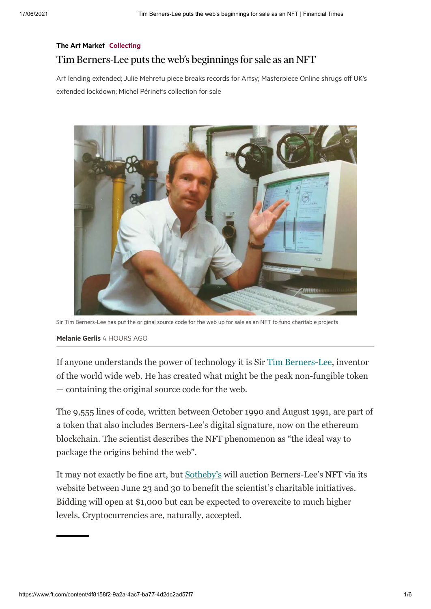# [The Art Market](https://www.ft.com/life-arts/art-market) [Collecting](https://www.ft.com/collecting) Tim Berners-Lee puts the web's beginnings for sale as an NFT

Art lending extended; Julie Mehretu piece breaks records for Artsy; Masterpiece Online shrugs off UK's extended lockdown; Michel Périnet's collection for sale



Sir Tim Berners-Lee has put the original source code for the web up for sale as an NFT to fund charitable projects

## [Melanie Gerlis](https://www.ft.com/stream/265180ed-c972-3800-9465-41ac416643af) 4 HOURS AGO

If anyone understands the power of technology it is Sir [Tim Berners-Lee,](https://www.ft.com/content/a77ad1bf-fae0-478b-aa05-a07790314ebc) inventor of the world wide web. He has created what might be the peak non-fungible token — containing the original source code for the web.

The 9,555 lines of code, written between October 1990 and August 1991, are part of a token that also includes Berners-Lee's digital signature, now on the ethereum blockchain. The scientist describes the NFT phenomenon as "the ideal way to package the origins behind the web".

It may not exactly be fine art, but [Sotheby's](https://www.sothebys.com/en/buy/auction/2021/this-changed-everything-source-code-for-www-x-tim-berners-lee-an-nft/source-code-for-the-www) will auction Berners-Lee's NFT via its website between June 23 and 30 to benefit the scientist's charitable initiatives. Bidding will open at \$1,000 but can be expected to overexcite to much higher levels. Cryptocurrencies are, naturally, accepted.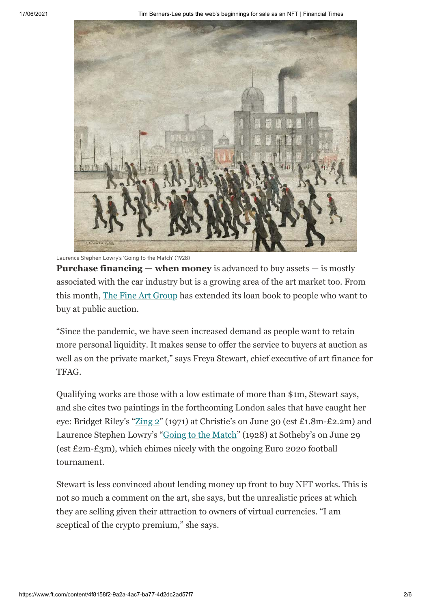

Laurence Stephen Lowry's 'Going to the Match' (1928)

**Purchase financing — when money** is advanced to buy assets — is mostly associated with the car industry but is a growing area of the art market too. From this month, [The Fine Art Group](https://www.fineartgroup.com/en/) has extended its loan book to people who want to buy at public auction.

"Since the pandemic, we have seen increased demand as people want to retain more personal liquidity. It makes sense to offer the service to buyers at auction as well as on the private market," says Freya Stewart, chief executive of art finance for TFAG.

Qualifying works are those with a low estimate of more than \$1m, Stewart says, and she cites two paintings in the forthcoming London sales that have caught her eye: Bridget Riley's ["Zing 2"](https://www.christies.com/lot/lot-bridget-riley-b-1931-zing-2-6328175/?from=salesummary&intObjectID=6328175&lid=1&ldp_breadcrumb=back) (1971) at Christie's on June 30 (est £1.8m-£2.2m) and Laurence Stephen Lowry's ["Going to the Match](https://www.sothebys.com/en/buy/auction/2021/british-art-modern-contemporary/going-to-the-match-2)" (1928) at Sotheby's on June 29 (est £2m-£3m), which chimes nicely with the ongoing Euro 2020 football tournament.

Stewart is less convinced about lending money up front to buy NFT works. This is not so much a comment on the art, she says, but the unrealistic prices at which they are selling given their attraction to owners of virtual currencies. "I am sceptical of the crypto premium," she says.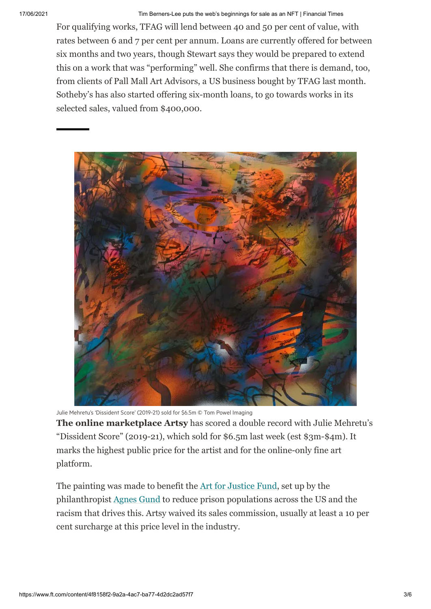For qualifying works, TFAG will lend between 40 and 50 per cent of value, with rates between 6 and 7 per cent per annum. Loans are currently offered for between six months and two years, though Stewart says they would be prepared to extend this on a work that was "performing" well. She confirms that there is demand, too, from clients of Pall Mall Art Advisors, a US business bought by TFAG last month. Sotheby's has also started offering six-month loans, to go towards works in its selected sales, valued from \$400,000.



Julie Mehretu's 'Dissident Score' (2019-21) sold for \$6.5m © Tom Powel Imaging

**The online marketplace Artsy** has scored a double record with Julie Mehretu's "Dissident Score" (2019-21), which sold for \$6.5m last week (est \$3m-\$4m). It marks the highest public price for the artist and for the online-only fine art platform.

The painting was made to benefit the [Art for Justice Fund](https://artforjusticefund.org/), set up by the philanthropist [Agnes Gund](https://www.ft.com/content/47d6a468-3941-11ea-ac3c-f68c10993b04) to reduce prison populations across the US and the racism that drives this. Artsy waived its sales commission, usually at least a 10 per cent surcharge at this price level in the industry.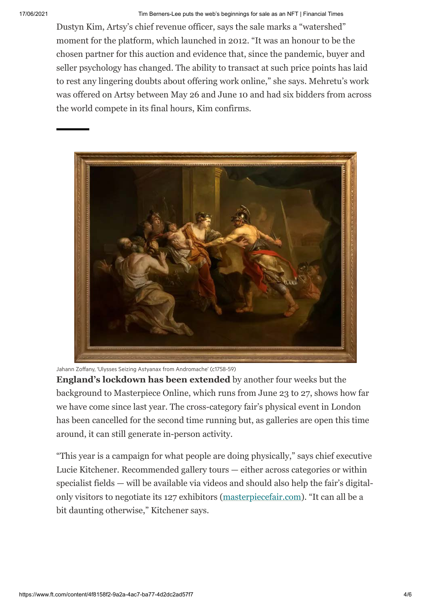Dustyn Kim, Artsy's chief revenue officer, says the sale marks a "watershed" moment for the platform, which launched in 2012. "It was an honour to be the chosen partner for this auction and evidence that, since the pandemic, buyer and seller psychology has changed. The ability to transact at such price points has laid to rest any lingering doubts about offering work online," she says. Mehretu's work was offered on Artsy between May 26 and June 10 and had six bidders from across the world compete in its final hours, Kim confirms.



Jahann Zoffany, 'Ulysses Seizing Astyanax from Andromache' (c1758-59)

**England's lockdown has been extended** by another four weeks but the background to Masterpiece Online, which runs from June 23 to 27, shows how far we have come since last year. The cross-category fair's physical event in London has been cancelled for the second time running but, as galleries are open this time around, it can still generate in-person activity.

"This year is a campaign for what people are doing physically," says chief executive Lucie Kitchener. Recommended gallery tours — either across categories or within specialist fields — will be available via videos and should also help the fair's digitalonly visitors to negotiate its 127 exhibitors [\(masterpiecefair.com](https://www.masterpiecefair.com/en)). "It can all be a bit daunting otherwise," Kitchener says.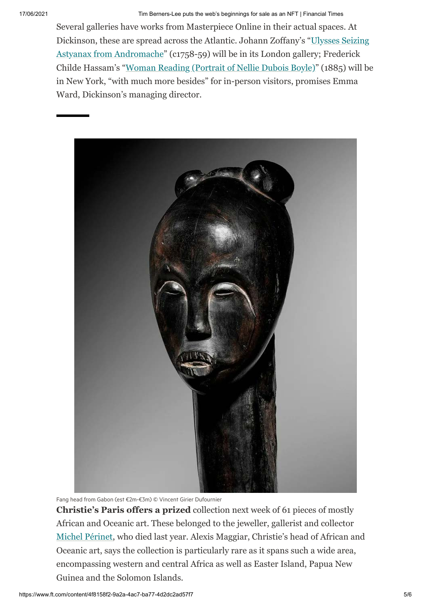Several galleries have works from Masterpiece Online in their actual spaces. At [Dickinson, these are spread across the Atlantic. Johann Zoffany's "Ulysses Seizing](https://www.simondickinson.com/artwork/ulysses-seizing-astyanax-from-andromache-c-1758-59/) Astyanax from Andromache" (c1758-59) will be in its London gallery; Frederick Childe Hassam's "[Woman Reading \(Portrait of Nellie Dubois Boyle\)](https://www.simondickinson.com/artwork/woman-reading-portrait-of-nellie-dubois-boyle-1885/)" (1885) will be in New York, "with much more besides" for in-person visitors, promises Emma Ward, Dickinson's managing director.



Fang head from Gabon (est €2m-€3m) © Vincent Girier Dufournier

**Christie's Paris offers a prized** collection next week of 61 pieces of mostly African and Oceanic art. These belonged to the jeweller, gallerist and collector [Michel Périnet,](https://www.christies.com/en/auction/collection-michel-p-rinet-19534-par/overview) who died last year. Alexis Maggiar, Christie's head of African and Oceanic art, says the collection is particularly rare as it spans such a wide area, encompassing western and central Africa as well as Easter Island, Papua New Guinea and the Solomon Islands.